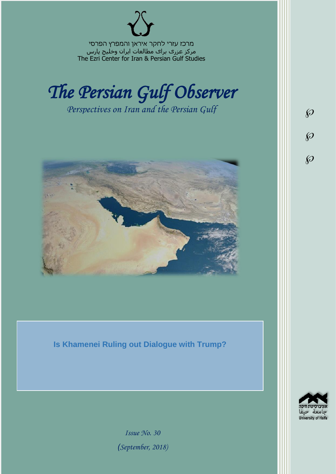מרכז עזרי לחקר איראן והמפרץ הפרסי مرکز عزری برای مطالعات ایران وخلیج پارس The Ezri Center for Iran & Persian Gulf Studies



*Perspectives on Iran and the Persian Gulf* 



**Is Khamenei Ruling out Dialogue with Trump?**



 $\wp$ 

 $\wp$ 

 $\wp$ 

*Issue No. 30 )September, 2018)*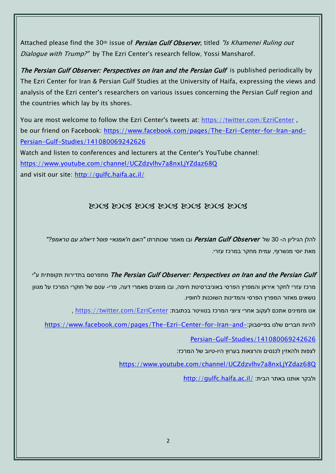Attached please find the 30<sup>th</sup> issue of *Persian Gulf Observer*, titled "Is Khamenei Ruling out Dialogue with Trump?" by The Ezri Center's research fellow, Yossi Mansharof.

The Persian Gulf Observer: Perspectives on Iran and the Persian Gulf is published periodically by The Ezri Center for Iran & Persian Gulf Studies at the University of Haifa, expressing the views and analysis of the Ezri center's researchers on various issues concerning the Persian Gulf region and the countries which lay by its shores.

You are most welcome to follow the Ezri Center's tweets at: <https://twitter.com/EzriCenter> , be our friend on Facebook: [https://www.facebook.com/pages/The-Ezri-Center-for-Iran-and-](https://www.facebook.com/pages/The-Ezri-Center-for-Iran-and-Persian-Gulf-Studies/141080069242626)[Persian-Gulf-Studies/141080069242626](https://www.facebook.com/pages/The-Ezri-Center-for-Iran-and-Persian-Gulf-Studies/141080069242626)

Watch and listen to conferences and lecturers at the Center's YouTube channel: <https://www.youtube.com/channel/UCZdzvlhv7a8nxLjYZdaz68Q> and visit our site:<http://gulfc.haifa.ac.il/>

# DOS DOS DOS DOS DOS DOS DOS

להלן הגיליון ה- 30 של Observer Gulf Persian ובו מאמר שכותרתו *"האם ח'אמנאיי פוסל דיאלוג עם טראמפ?"* מאת יוסי מנשרוף, עמית מחקר במרכז עזרי.

יתפרסם בתדירות תקופתית ע"י The Persian Gulf Observer: Perspectives on Iran and the Persian Gulf מרכז עזרי לחקר איראן והמפרץ הפרסי באוניברסיטת חיפה, ובו מוצגים מאמרי דעה, פרי- עטם של חוקרי המרכז על מגוון נושאים מאזור המפרץ הפרסי והמדינות השוכנות לחופיו.

, https://twitter.com/EzriCenter אנו מזמינים אתכם לעקוב אחרי ציוצי המרכז בטוויטר בכתובת:

[https://www.facebook.com/pages/The-Ezri-Center-for-Iran-and-](https://www.facebook.com/pages/The-Ezri-Center-for-Iran-and-Persian-Gulf-Studies/141080069242626):כהיות חברים שלנו בפייסבוק:

[Persian-Gulf-Studies/141080069242626](https://www.facebook.com/pages/The-Ezri-Center-for-Iran-and-Persian-Gulf-Studies/141080069242626)

לצפות ולהאזין לכנסים והרצאות בערוץ היו-טיוב של המרכז:

<https://www.youtube.com/channel/UCZdzvlhv7a8nxLjYZdaz68Q>

<http://gulfc.haifa.ac.il/> ולבקר אותנו באתר הבית: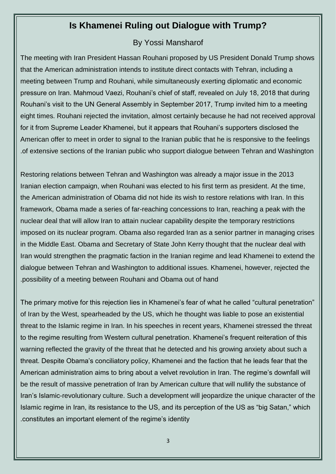# **Is Khamenei Ruling out Dialogue with Trump?**

# By Yossi Mansharof

The meeting with Iran President Hassan Rouhani proposed by US President Donald Trump shows that the American administration intends to institute direct contacts with Tehran, including a meeting between Trump and Rouhani, while simultaneously exerting diplomatic and economic pressure on Iran. Mahmoud Vaezi, Rouhani's chief of staff, revealed on July 18, 2018 that during Rouhani's visit to the UN General Assembly in September 2017, Trump invited him to a meeting eight times. Rouhani rejected the invitation, almost certainly because he had not received approval for it from Supreme Leader Khamenei, but it appears that Rouhani's supporters disclosed the American offer to meet in order to signal to the Iranian public that he is responsive to the feelings .of extensive sections of the Iranian public who support dialogue between Tehran and Washington

Restoring relations between Tehran and Washington was already a major issue in the 2013 Iranian election campaign, when Rouhani was elected to his first term as president. At the time, the American administration of Obama did not hide its wish to restore relations with Iran. In this framework, Obama made a series of far-reaching concessions to Iran, reaching a peak with the nuclear deal that will allow Iran to attain nuclear capability despite the temporary restrictions imposed on its nuclear program. Obama also regarded Iran as a senior partner in managing crises in the Middle East. Obama and Secretary of State John Kerry thought that the nuclear deal with Iran would strengthen the pragmatic faction in the Iranian regime and lead Khamenei to extend the dialogue between Tehran and Washington to additional issues. Khamenei, however, rejected the .possibility of a meeting between Rouhani and Obama out of hand

The primary motive for this rejection lies in Khamenei's fear of what he called "cultural penetration" of Iran by the West, spearheaded by the US, which he thought was liable to pose an existential threat to the Islamic regime in Iran. In his speeches in recent years, Khamenei stressed the threat to the regime resulting from Western cultural penetration. Khamenei's frequent reiteration of this warning reflected the gravity of the threat that he detected and his growing anxiety about such a threat. Despite Obama's conciliatory policy, Khamenei and the faction that he leads fear that the American administration aims to bring about a velvet revolution in Iran. The regime's downfall will be the result of massive penetration of Iran by American culture that will nullify the substance of Iran's Islamic-revolutionary culture. Such a development will jeopardize the unique character of the Islamic regime in Iran, its resistance to the US, and its perception of the US as "big Satan," which .constitutes an important element of the regime's identity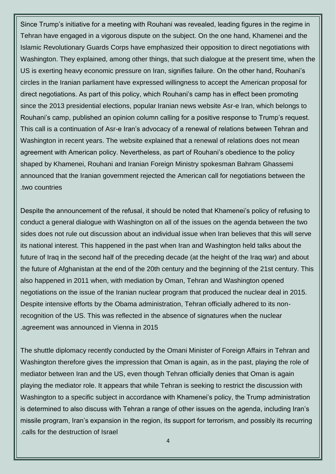Since Trump's initiative for a meeting with Rouhani was revealed, leading figures in the regime in Tehran have engaged in a vigorous dispute on the subject. On the one hand, Khamenei and the Islamic Revolutionary Guards Corps have emphasized their opposition to direct negotiations with Washington. They explained, among other things, that such dialogue at the present time, when the US is exerting heavy economic pressure on Iran, signifies failure. On the other hand, Rouhani's circles in the Iranian parliament have expressed willingness to accept the American proposal for direct negotiations. As part of this policy, which Rouhani's camp has in effect been promoting since the 2013 presidential elections, popular Iranian news website Asr-e Iran, which belongs to Rouhani's camp, published an opinion column calling for a positive response to Trump's request. This call is a continuation of Asr-e Iran's advocacy of a renewal of relations between Tehran and Washington in recent years. The website explained that a renewal of relations does not mean agreement with American policy. Nevertheless, as part of Rouhani's obedience to the policy shaped by Khamenei, Rouhani and Iranian Foreign Ministry spokesman Bahram Ghassemi announced that the Iranian government rejected the American call for negotiations between the .two countries

Despite the announcement of the refusal, it should be noted that Khamenei's policy of refusing to conduct a general dialogue with Washington on all of the issues on the agenda between the two sides does not rule out discussion about an individual issue when Iran believes that this will serve its national interest. This happened in the past when Iran and Washington held talks about the future of Iraq in the second half of the preceding decade (at the height of the Iraq war) and about the future of Afghanistan at the end of the 20th century and the beginning of the 21st century. This also happened in 2011 when, with mediation by Oman, Tehran and Washington opened negotiations on the issue of the Iranian nuclear program that produced the nuclear deal in 2015. Despite intensive efforts by the Obama administration, Tehran officially adhered to its nonrecognition of the US. This was reflected in the absence of signatures when the nuclear .agreement was announced in Vienna in 2015

The shuttle diplomacy recently conducted by the Omani Minister of Foreign Affairs in Tehran and Washington therefore gives the impression that Oman is again, as in the past, playing the role of mediator between Iran and the US, even though Tehran officially denies that Oman is again playing the mediator role. It appears that while Tehran is seeking to restrict the discussion with Washington to a specific subject in accordance with Khamenei's policy, the Trump administration is determined to also discuss with Tehran a range of other issues on the agenda, including Iran's missile program, Iran's expansion in the region, its support for terrorism, and possibly its recurring .calls for the destruction of Israel